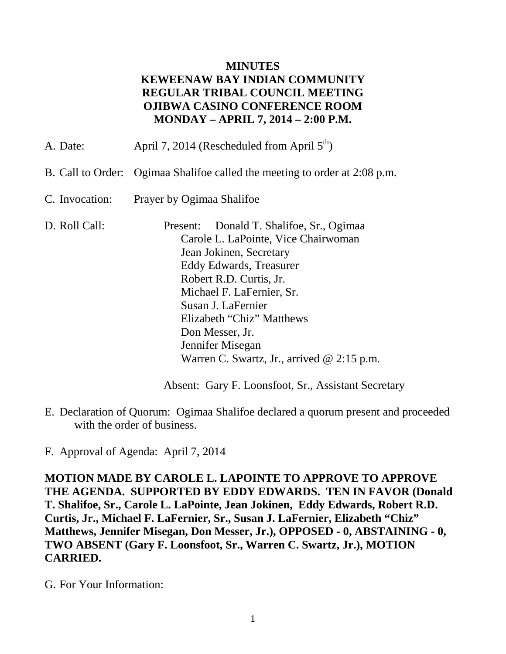#### **MINUTES KEWEENAW BAY INDIAN COMMUNITY REGULAR TRIBAL COUNCIL MEETING OJIBWA CASINO CONFERENCE ROOM MONDAY – APRIL 7, 2014 – 2:00 P.M.**

| A. Date:       | April 7, 2014 (Rescheduled from April $5th$ )                                                                                                                                                                                                                                                                                           |
|----------------|-----------------------------------------------------------------------------------------------------------------------------------------------------------------------------------------------------------------------------------------------------------------------------------------------------------------------------------------|
|                | B. Call to Order: Ogimaa Shalifoe called the meeting to order at 2:08 p.m.                                                                                                                                                                                                                                                              |
| C. Invocation: | Prayer by Ogimaa Shalifoe                                                                                                                                                                                                                                                                                                               |
| D. Roll Call:  | Present: Donald T. Shalifoe, Sr., Ogimaa<br>Carole L. LaPointe, Vice Chairwoman<br>Jean Jokinen, Secretary<br>Eddy Edwards, Treasurer<br>Robert R.D. Curtis, Jr.<br>Michael F. LaFernier, Sr.<br>Susan J. LaFernier<br>Elizabeth "Chiz" Matthews<br>Don Messer, Jr.<br>Jennifer Misegan<br>Warren C. Swartz, Jr., arrived $@ 2:15$ p.m. |

Absent: Gary F. Loonsfoot, Sr., Assistant Secretary

E. Declaration of Quorum: Ogimaa Shalifoe declared a quorum present and proceeded with the order of business.

F. Approval of Agenda: April 7, 2014

**MOTION MADE BY CAROLE L. LAPOINTE TO APPROVE TO APPROVE THE AGENDA. SUPPORTED BY EDDY EDWARDS. TEN IN FAVOR (Donald T. Shalifoe, Sr., Carole L. LaPointe, Jean Jokinen, Eddy Edwards, Robert R.D. Curtis, Jr., Michael F. LaFernier, Sr., Susan J. LaFernier, Elizabeth "Chiz" Matthews, Jennifer Misegan, Don Messer, Jr.), OPPOSED - 0, ABSTAINING - 0, TWO ABSENT (Gary F. Loonsfoot, Sr., Warren C. Swartz, Jr.), MOTION CARRIED.**

G. For Your Information: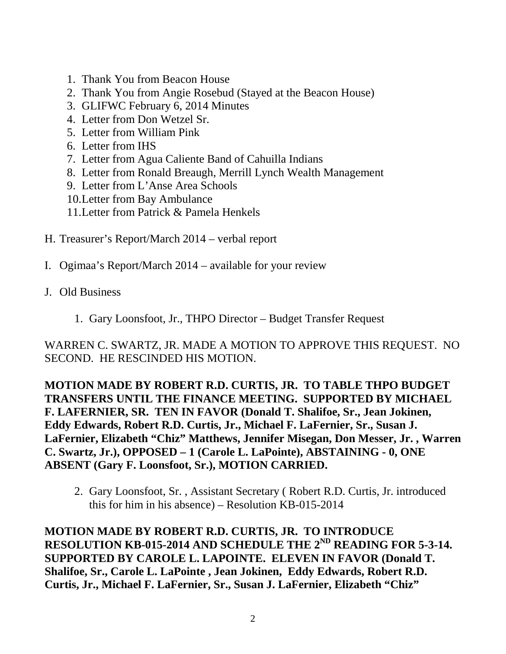- 1. Thank You from Beacon House
- 2. Thank You from Angie Rosebud (Stayed at the Beacon House)
- 3. GLIFWC February 6, 2014 Minutes
- 4. Letter from Don Wetzel Sr.
- 5. Letter from William Pink
- 6. Letter from IHS
- 7. Letter from Agua Caliente Band of Cahuilla Indians
- 8. Letter from Ronald Breaugh, Merrill Lynch Wealth Management
- 9. Letter from L'Anse Area Schools
- 10.Letter from Bay Ambulance
- 11.Letter from Patrick & Pamela Henkels
- H. Treasurer's Report/March 2014 verbal report
- I. Ogimaa's Report/March 2014 available for your review
- J. Old Business
	- 1. Gary Loonsfoot, Jr., THPO Director Budget Transfer Request

WARREN C. SWARTZ, JR. MADE A MOTION TO APPROVE THIS REQUEST. NO SECOND. HE RESCINDED HIS MOTION.

**MOTION MADE BY ROBERT R.D. CURTIS, JR. TO TABLE THPO BUDGET TRANSFERS UNTIL THE FINANCE MEETING. SUPPORTED BY MICHAEL F. LAFERNIER, SR. TEN IN FAVOR (Donald T. Shalifoe, Sr., Jean Jokinen, Eddy Edwards, Robert R.D. Curtis, Jr., Michael F. LaFernier, Sr., Susan J. LaFernier, Elizabeth "Chiz" Matthews, Jennifer Misegan, Don Messer, Jr. , Warren C. Swartz, Jr.), OPPOSED – 1 (Carole L. LaPointe), ABSTAINING - 0, ONE ABSENT (Gary F. Loonsfoot, Sr.), MOTION CARRIED.**

2. Gary Loonsfoot, Sr. , Assistant Secretary ( Robert R.D. Curtis, Jr. introduced this for him in his absence) – Resolution KB-015-2014

**MOTION MADE BY ROBERT R.D. CURTIS, JR. TO INTRODUCE RESOLUTION KB-015-2014 AND SCHEDULE THE 2ND READING FOR 5-3-14. SUPPORTED BY CAROLE L. LAPOINTE. ELEVEN IN FAVOR (Donald T. Shalifoe, Sr., Carole L. LaPointe , Jean Jokinen, Eddy Edwards, Robert R.D. Curtis, Jr., Michael F. LaFernier, Sr., Susan J. LaFernier, Elizabeth "Chiz"**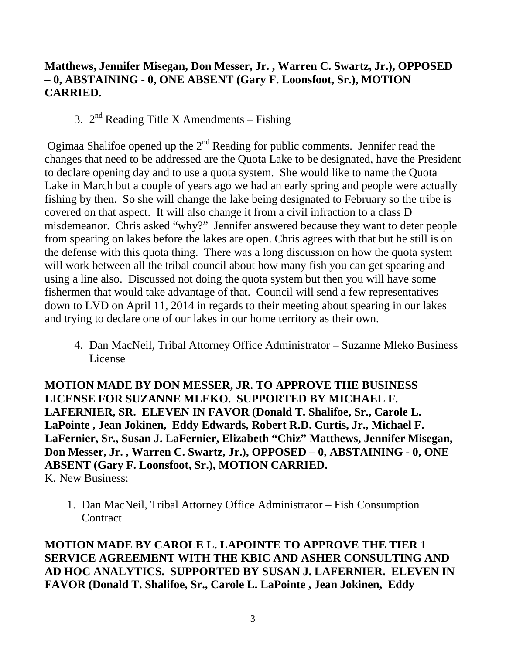# **Matthews, Jennifer Misegan, Don Messer, Jr. , Warren C. Swartz, Jr.), OPPOSED – 0, ABSTAINING - 0, ONE ABSENT (Gary F. Loonsfoot, Sr.), MOTION CARRIED.**

3.  $2^{nd}$  Reading Title X Amendments – Fishing

Ogimaa Shalifoe opened up the  $2<sup>nd</sup>$  Reading for public comments. Jennifer read the changes that need to be addressed are the Quota Lake to be designated, have the President to declare opening day and to use a quota system. She would like to name the Quota Lake in March but a couple of years ago we had an early spring and people were actually fishing by then. So she will change the lake being designated to February so the tribe is covered on that aspect. It will also change it from a civil infraction to a class D misdemeanor. Chris asked "why?" Jennifer answered because they want to deter people from spearing on lakes before the lakes are open. Chris agrees with that but he still is on the defense with this quota thing. There was a long discussion on how the quota system will work between all the tribal council about how many fish you can get spearing and using a line also. Discussed not doing the quota system but then you will have some fishermen that would take advantage of that. Council will send a few representatives down to LVD on April 11, 2014 in regards to their meeting about spearing in our lakes and trying to declare one of our lakes in our home territory as their own.

4. Dan MacNeil, Tribal Attorney Office Administrator – Suzanne Mleko Business License

**MOTION MADE BY DON MESSER, JR. TO APPROVE THE BUSINESS LICENSE FOR SUZANNE MLEKO. SUPPORTED BY MICHAEL F. LAFERNIER, SR. ELEVEN IN FAVOR (Donald T. Shalifoe, Sr., Carole L. LaPointe , Jean Jokinen, Eddy Edwards, Robert R.D. Curtis, Jr., Michael F. LaFernier, Sr., Susan J. LaFernier, Elizabeth "Chiz" Matthews, Jennifer Misegan, Don Messer, Jr. , Warren C. Swartz, Jr.), OPPOSED – 0, ABSTAINING - 0, ONE ABSENT (Gary F. Loonsfoot, Sr.), MOTION CARRIED.** K. New Business:

1. Dan MacNeil, Tribal Attorney Office Administrator – Fish Consumption **Contract** 

**MOTION MADE BY CAROLE L. LAPOINTE TO APPROVE THE TIER 1 SERVICE AGREEMENT WITH THE KBIC AND ASHER CONSULTING AND AD HOC ANALYTICS. SUPPORTED BY SUSAN J. LAFERNIER. ELEVEN IN FAVOR (Donald T. Shalifoe, Sr., Carole L. LaPointe , Jean Jokinen, Eddy**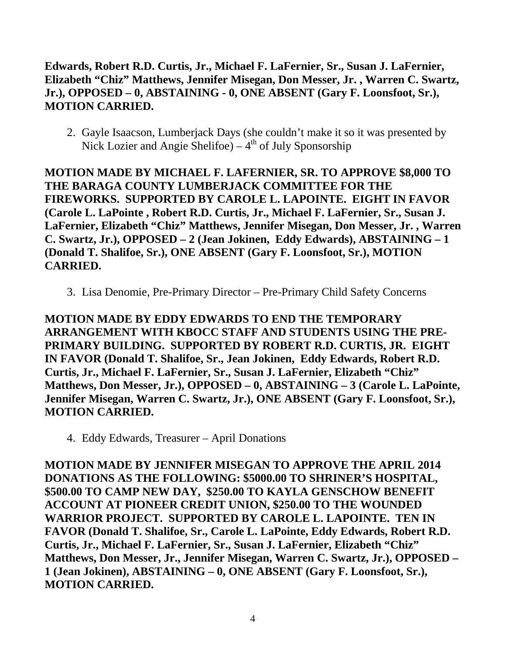### **Edwards, Robert R.D. Curtis, Jr., Michael F. LaFernier, Sr., Susan J. LaFernier, Elizabeth "Chiz" Matthews, Jennifer Misegan, Don Messer, Jr. , Warren C. Swartz, Jr.), OPPOSED – 0, ABSTAINING - 0, ONE ABSENT (Gary F. Loonsfoot, Sr.), MOTION CARRIED.**

2. Gayle Isaacson, Lumberjack Days (she couldn't make it so it was presented by Nick Lozier and Angie Shelifoe) –  $4<sup>th</sup>$  of July Sponsorship

**MOTION MADE BY MICHAEL F. LAFERNIER, SR. TO APPROVE \$8,000 TO THE BARAGA COUNTY LUMBERJACK COMMITTEE FOR THE FIREWORKS. SUPPORTED BY CAROLE L. LAPOINTE. EIGHT IN FAVOR (Carole L. LaPointe , Robert R.D. Curtis, Jr., Michael F. LaFernier, Sr., Susan J. LaFernier, Elizabeth "Chiz" Matthews, Jennifer Misegan, Don Messer, Jr. , Warren C. Swartz, Jr.), OPPOSED – 2 (Jean Jokinen, Eddy Edwards), ABSTAINING – 1 (Donald T. Shalifoe, Sr.), ONE ABSENT (Gary F. Loonsfoot, Sr.), MOTION CARRIED.**

3. Lisa Denomie, Pre-Primary Director – Pre-Primary Child Safety Concerns

**MOTION MADE BY EDDY EDWARDS TO END THE TEMPORARY ARRANGEMENT WITH KBOCC STAFF AND STUDENTS USING THE PRE-PRIMARY BUILDING. SUPPORTED BY ROBERT R.D. CURTIS, JR. EIGHT IN FAVOR (Donald T. Shalifoe, Sr., Jean Jokinen, Eddy Edwards, Robert R.D. Curtis, Jr., Michael F. LaFernier, Sr., Susan J. LaFernier, Elizabeth "Chiz" Matthews, Don Messer, Jr.), OPPOSED – 0, ABSTAINING – 3 (Carole L. LaPointe, Jennifer Misegan, Warren C. Swartz, Jr.), ONE ABSENT (Gary F. Loonsfoot, Sr.), MOTION CARRIED.**

4. Eddy Edwards, Treasurer – April Donations

**MOTION MADE BY JENNIFER MISEGAN TO APPROVE THE APRIL 2014 DONATIONS AS THE FOLLOWING: \$5000.00 TO SHRINER'S HOSPITAL, \$500.00 TO CAMP NEW DAY, \$250.00 TO KAYLA GENSCHOW BENEFIT ACCOUNT AT PIONEER CREDIT UNION, \$250.00 TO THE WOUNDED WARRIOR PROJECT. SUPPORTED BY CAROLE L. LAPOINTE. TEN IN FAVOR (Donald T. Shalifoe, Sr., Carole L. LaPointe, Eddy Edwards, Robert R.D. Curtis, Jr., Michael F. LaFernier, Sr., Susan J. LaFernier, Elizabeth "Chiz" Matthews, Don Messer, Jr., Jennifer Misegan, Warren C. Swartz, Jr.), OPPOSED – 1 (Jean Jokinen), ABSTAINING – 0, ONE ABSENT (Gary F. Loonsfoot, Sr.), MOTION CARRIED.**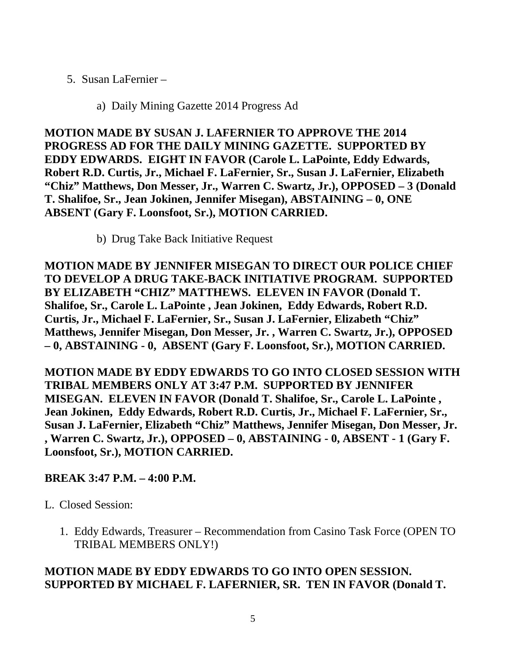- 5. Susan LaFernier
	- a) Daily Mining Gazette 2014 Progress Ad

**MOTION MADE BY SUSAN J. LAFERNIER TO APPROVE THE 2014 PROGRESS AD FOR THE DAILY MINING GAZETTE. SUPPORTED BY EDDY EDWARDS. EIGHT IN FAVOR (Carole L. LaPointe, Eddy Edwards, Robert R.D. Curtis, Jr., Michael F. LaFernier, Sr., Susan J. LaFernier, Elizabeth "Chiz" Matthews, Don Messer, Jr., Warren C. Swartz, Jr.), OPPOSED – 3 (Donald T. Shalifoe, Sr., Jean Jokinen, Jennifer Misegan), ABSTAINING – 0, ONE ABSENT (Gary F. Loonsfoot, Sr.), MOTION CARRIED.**

b) Drug Take Back Initiative Request

**MOTION MADE BY JENNIFER MISEGAN TO DIRECT OUR POLICE CHIEF TO DEVELOP A DRUG TAKE-BACK INITIATIVE PROGRAM. SUPPORTED BY ELIZABETH "CHIZ" MATTHEWS. ELEVEN IN FAVOR (Donald T. Shalifoe, Sr., Carole L. LaPointe , Jean Jokinen, Eddy Edwards, Robert R.D. Curtis, Jr., Michael F. LaFernier, Sr., Susan J. LaFernier, Elizabeth "Chiz" Matthews, Jennifer Misegan, Don Messer, Jr. , Warren C. Swartz, Jr.), OPPOSED – 0, ABSTAINING - 0, ABSENT (Gary F. Loonsfoot, Sr.), MOTION CARRIED.**

**MOTION MADE BY EDDY EDWARDS TO GO INTO CLOSED SESSION WITH TRIBAL MEMBERS ONLY AT 3:47 P.M. SUPPORTED BY JENNIFER MISEGAN. ELEVEN IN FAVOR (Donald T. Shalifoe, Sr., Carole L. LaPointe , Jean Jokinen, Eddy Edwards, Robert R.D. Curtis, Jr., Michael F. LaFernier, Sr., Susan J. LaFernier, Elizabeth "Chiz" Matthews, Jennifer Misegan, Don Messer, Jr. , Warren C. Swartz, Jr.), OPPOSED – 0, ABSTAINING - 0, ABSENT - 1 (Gary F. Loonsfoot, Sr.), MOTION CARRIED.**

## **BREAK 3:47 P.M. – 4:00 P.M.**

L. Closed Session:

1. Eddy Edwards, Treasurer – Recommendation from Casino Task Force (OPEN TO TRIBAL MEMBERS ONLY!)

## **MOTION MADE BY EDDY EDWARDS TO GO INTO OPEN SESSION. SUPPORTED BY MICHAEL F. LAFERNIER, SR. TEN IN FAVOR (Donald T.**